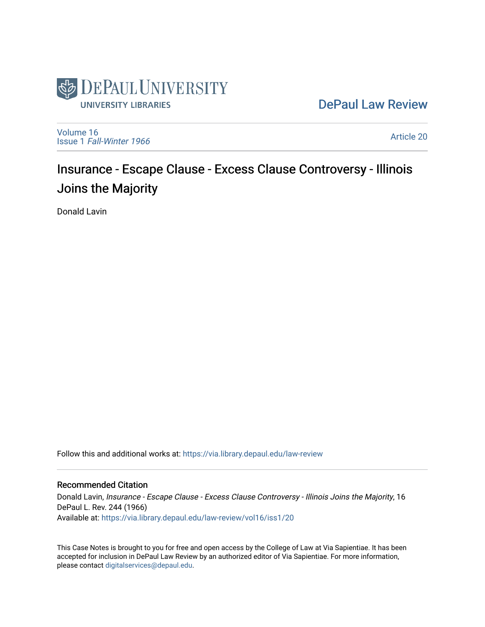

[DePaul Law Review](https://via.library.depaul.edu/law-review) 

[Volume 16](https://via.library.depaul.edu/law-review/vol16) Issue 1 [Fall-Winter 1966](https://via.library.depaul.edu/law-review/vol16/iss1)

[Article 20](https://via.library.depaul.edu/law-review/vol16/iss1/20) 

# Insurance - Escape Clause - Excess Clause Controversy - Illinois Joins the Majority

Donald Lavin

Follow this and additional works at: [https://via.library.depaul.edu/law-review](https://via.library.depaul.edu/law-review?utm_source=via.library.depaul.edu%2Flaw-review%2Fvol16%2Fiss1%2F20&utm_medium=PDF&utm_campaign=PDFCoverPages) 

## Recommended Citation

Donald Lavin, Insurance - Escape Clause - Excess Clause Controversy - Illinois Joins the Majority, 16 DePaul L. Rev. 244 (1966) Available at: [https://via.library.depaul.edu/law-review/vol16/iss1/20](https://via.library.depaul.edu/law-review/vol16/iss1/20?utm_source=via.library.depaul.edu%2Flaw-review%2Fvol16%2Fiss1%2F20&utm_medium=PDF&utm_campaign=PDFCoverPages)

This Case Notes is brought to you for free and open access by the College of Law at Via Sapientiae. It has been accepted for inclusion in DePaul Law Review by an authorized editor of Via Sapientiae. For more information, please contact [digitalservices@depaul.edu.](mailto:digitalservices@depaul.edu)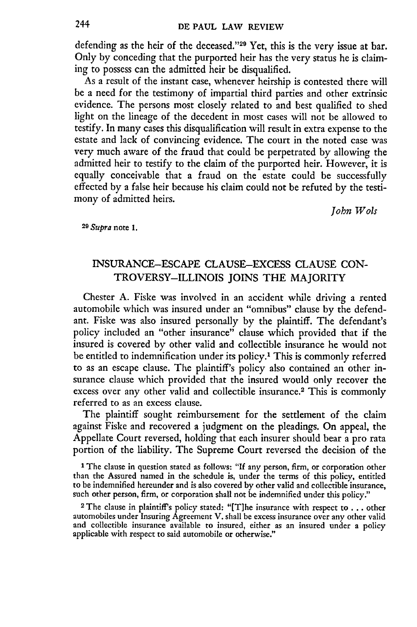defending as the heir of the deceased."<sup>29</sup> Yet, this is the very issue at bar. Only by conceding that the purported heir has the very status he is claiming to possess can the admitted heir be disqualified.

As a result of the instant case, whenever heirship is contested there will be a need for the testimony of impartial third parties and other extrinsic evidence. The persons most closely related to and best qualified to shed light on the lineage of the decedent in most cases will not be allowed to testify. In many cases this disqualification will result in extra expense to the estate and lack of convincing evidence. The court in the noted case was very much aware of the fraud that could be perpetrated by allowing the admitted heir to testify to the claim of the purported heir. However, it is equally conceivable that a fraud on the estate could be successfully effected by a false heir because his claim could not be refuted by the testimony of admitted heirs.

*John Wols*

**29** Supra note **1.**

# INSURANCE-ESCAPE CLAUSE-EXCESS CLAUSE CON-TROVERSY-ILLINOIS JOINS THE MAJORITY

Chester A. Fiske was involved in an accident while driving a rented automobile which was insured under an "omnibus" clause by the defendant. Fiske was also insured personally by the plaintiff. The defendant's policy included an "other insurance" clause which provided that if the insured is covered by other valid and collectible insurance he would not be entitled to indemnification under its policy.<sup>1</sup> This is commonly referred to as an escape clause. The plaintiff's policy also contained an other insurance clause which provided that the insured would only recover the excess over any other valid and collectible insurance.2 This is commonly referred to as an excess clause.

The plaintiff sought reimbursement for the settlement of the claim against Fiske and recovered a judgment on the pleadings. On appeal, the Appellate Court reversed, holding that each insurer should bear a pro rata portion of the liability. The Supreme Court reversed the decision of the

**1** The clause in question stated as follows: **"If** any person, firm, or corporation other than the Assured named in the schedule is, under the terms of this policy, entitled to be indemnified hereunder and is also covered by other valid and collectible insurance, such other person, firm, or corporation shall not be indemnified under this policy."

**2** The clause in plaintiff's policy stated: "[T]he insurance with respect to **. ..** other automobiles under Insuring Agreement V. shall be excess insurance over any other valid and collectible insurance available to insured, either as an insured under a policy applicable with respect to said automobile or otherwise."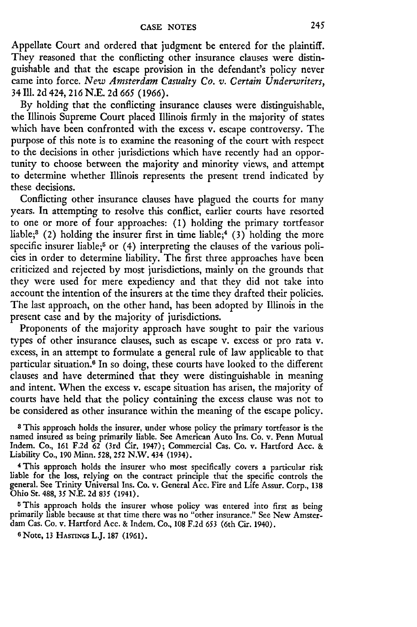Appellate Court and ordered that judgment be entered for the plaintiff. They reasoned that the conflicting other insurance clauses were distinguishable and that the escape provision in the defendant's policy never came into force. *New Amsterdam Casualty Co. v. Certain Underwriters,* 34 Ill. **2d** 424, **216 N.E. 2d** *665* **(1966).**

**By** holding that the conflicting insurance clauses were distinguishable, the Illinois Supreme Court placed Illinois firmly in the majority of states which have been confronted with the excess v. escape controversy. The purpose of this note is to examine the reasoning of the court with respect to the decisions in other jurisdictions which have recently had an opportunity to choose between the majority and minority views, and attempt to determine whether Illinois represents the present trend indicated by these decisions.

Conflicting other insurance clauses have plagued the courts for many years. In attempting to resolve this conflict, earlier courts have resorted to one or more of four approaches: **(1)** holding the primary tortfeasor liable;<sup>3</sup> (2) holding the insurer first in time liable;<sup>4</sup> (3) holding the more specific insurer liable;<sup>5</sup> or  $(4)$  interpreting the clauses of the various policies in order to determine liability. The first three approaches have been criticized and rejected by most jurisdictions, mainly on the grounds that they were used for mere expediency and that they did not take into account the intention of the insurers at the time they drafted their policies. The last approach, on the other hand, has been adopted by Illinois in the present case and by the majority of jurisdictions.

Proponents of the majority approach have sought to pair the various types of other insurance clauses, such as escape v. excess or pro rata v. excess, in an attempt to formulate a general rule of law applicable to that particular situation.<sup>6</sup> In so doing, these courts have looked to the different clauses and have determined that they were distinguishable in meaning and intent. When the excess v. escape situation has arisen, the majority of courts have held that the policy containing the excess clause was not to be considered as other insurance within the meaning of the escape policy.

**<sup>8</sup>**This approach holds the insurer, under whose policy the primary tortfeasor is the named insured as being primarily liable. See American Auto Ins. Co. v. Penn Mutual Indem. Co., **161 F.2d 62** (3rd Cir. 1947); Commercial Cas. Co. v. Hartford Acc. & Liability Co., **190** Minn. **528, 252** N.W. 434 (1934).

**4** This approach holds the insurer who most specifically covers a particular risk liable for the loss, relying on the contract principle that the specific controls the general. See Trinity Universal Ins. Co. v. General Acc. Fire and Life Assur. Corp., **<sup>138</sup>** Ohio St. 488, **35 N.E. 2d 835 (1941).**

**<sup>5</sup>**This approach holds the insurer whose policy was entered into first as being primarily liable because at that time there was no "other insurance." See New Amsterdam Cas. Co. v. Hartford Acc. & Indem. Co., **108 F.2d** 653 (6th Cir. 1940).

<sup>6</sup> Note, **13** HASTINGS L.J. **187 (1961).**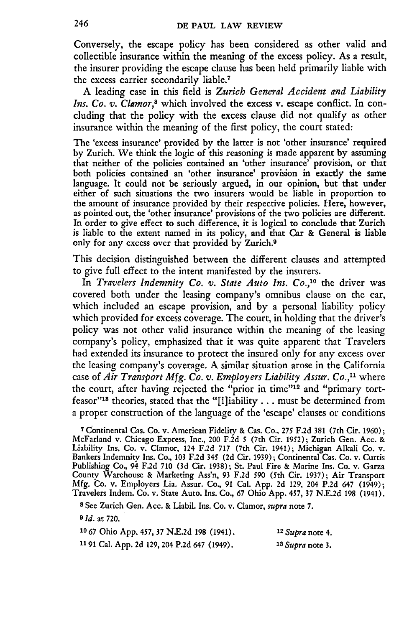Conversely, the escape policy has been considered as other valid and collectible insurance within the meaning of the excess policy. As a result, the insurer providing the escape clause has been held primarily liable with the excess carrier secondarily liable.<sup>7</sup>

A leading case in this field is *Zurich General Accident and Liability Ins. Co. v. Clamor,8* which involved the excess v. escape conflict. In concluding that the policy with the excess clause did not qualify as other insurance within the meaning of the first policy, the court stated:

The 'excess insurance' provided **by** the latter is not 'other insurance' required by Zurich. We think the logic of this reasoning is made apparent by assuming that neither of the policies contained an 'other insurance' provision, or that both policies contained an 'other insurance' provision in exactly the same language. It could not be seriously argued, in our opinion, but that under either of such situations the two insurers would be liable in proportion to the amount of insurance provided by their respective policies. Here, however, as pointed out, the 'other insurance' provisions of the two policies are different. In order to give effect to such difference, it is logical to conclude that Zurich is liable to the extent named in its policy, and that Car & General is liable only for any excess over that provided **by** Zurich.<sup>9</sup>

This decision distinguished between the different clauses and attempted to give full effect to the intent manifested by the insurers.

In *Travelers Indemnity Co. v. State Auto Ins. Co.,10* the driver was covered both under the leasing company's omnibus clause on the car, which included an escape provision, and by a personal liability policy which provided for excess coverage. The court, in holding that the driver's policy was not other valid insurance within the meaning of the leasing company's policy, emphasized that it was quite apparent that Travelers had extended its insurance to protect the insured only for any excess over the leasing company's coverage. A similar situation arose in the California case of *Air Transport Mfg. Co. v. Employers Liability Assur. Co.*,<sup>11</sup> where the court, after having rejected the "prior in time"<sup>12</sup> and "primary tortfeasor"<sup>18</sup> theories, stated that the "[I]iability . . . must be determined from a proper construction of the language of the 'escape' clauses or conditions

**<sup>7</sup>**Continental Cas. Co. v. American Fidelity **&** Cas. Co., **275** F.2d **381** (7th Cir. 1960); McFarland v. Chicago Express, Inc., 200 F.2d **5** (7th Cir. 1952); Zurich Gen. Acc. **&** Liability Ins. Co. v. Clamor, 124 F.2d 717 (7th Cir. 1941); Michigan Alkali Co. v. Bankers Indemnity Ins. Co., 103 F.2d 345 (2d Cir. 1939); Continental Cas. Co. v. Curtis Publishing Co., 94 F.2d 710 (3d Cir. 1938); St. Paul Fire & Marine Ins. Co. v. Garza County Warehouse & Marketing Ass'n, 93 F.2d 590 (5th Cir. 1937); Air Transport Mfg. Co. v. Employers Lia. Assur. Co., 91 Cal. App. 2d 129, 204 P.2d 647 (1949); Travelers Indem. Co. v. State Auto. Ins. Co., 67 Ohio App. 457, 37 N.E.2d 198 (1941).

**<sup>8</sup>**See Zurich Gen. Ace. & Liabil. Ins. Co. v. Clamor, *supra* note 7.

**9** *Id.* at 720.

| 10 67 Ohio App. 457, 37 N.E.2d 198 (1941).   | $12$ Supra note 4. |
|----------------------------------------------|--------------------|
| 11 91 Cal. App. 2d 129, 204 P.2d 647 (1949). | $13$ Supra note 3. |

246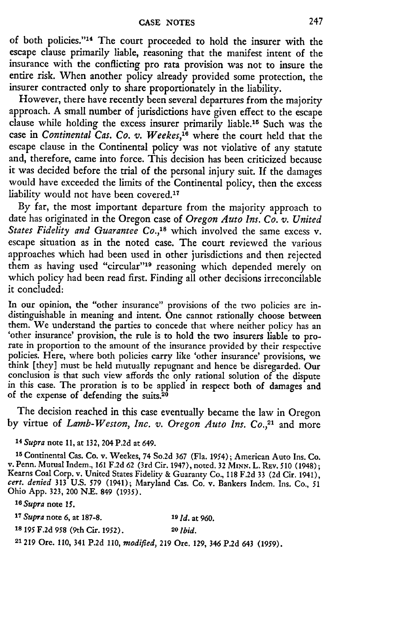of both policies."<sup>14</sup> The court proceeded to hold the insurer with the escape clause primarily liable, reasoning that the manifest intent of the insurance with the conflicting pro rata provision was not to insure the entire risk. When another policy already provided some protection, the insurer contracted only to share proportionately in the liability.

However, there have recently been several departures from the majority approach. A small number of jurisdictions have given effect to the escape clause while holding the excess insurer primarily liable.<sup>15</sup> Such was the case in *Continental Cas. Co. v. Weekes*,<sup>16</sup> where the court held that the escape clause in the Continental policy was not violative of any statute and, therefore, came into force. This decision has been criticized because it was decided before the trial of the personal injury suit. If the damages would have exceeded the limits of the Continental policy, then the excess liability would not have been covered.<sup>17</sup>

By far, the most important departure from the majority approach to date has originated in the Oregon case of *Oregon Auto Ins. Co. v. United States Fidelity and Guarantee Co.,'8* which involved the same excess v. escape situation as in the noted case. The court reviewed the various approaches which had been used in other jurisdictions and then rejected them as having used "circular"<sup>19</sup> reasoning which depended merely on which policy had been read first. Finding all other decisions irreconcilable it concluded:

In our opinion, the "other insurance" provisions of the two policies are indistinguishable in meaning and intent. One cannot rationally choose between them. We understand the parties to concede that where neither policy has an 'other insurance' provision, the rule is to hold the two insurers liable to prorate in proportion to the amount of the insurance provided by their respective policies. Here, where both policies carry like 'other insurance' provisions, we think [they] must be held mutually repugnant and hence be disregarded. Our conclusion is that such view affords the only rational solution of the dispute in this case. The proration is to be applied in respect both of damages and of the expense of defending the suits. $20$ 

The decision reached in this case eventually became the law in Oregon by virtue of *Lamb-Weston, Inc. v. Oregon Auto Ins. Co.*,<sup>21</sup> and more

*'4 Supra* note **11,** at 132, 204 **P.2d** at 649.

**<sup>15</sup>**Continental Cas. Co. v. Weekes, 74 So.2d 367 (Fla. 1954); American Auto Ins. Co. v. Penn. Mutual Indem., **161 F.2d 62** (3rd Cir. 1947), noted. **32** *MINNi.* L. **REv. 510** (1948); Kearns Coal Corp. v. United States Fidelity **&** Guaranty Co., **118 F.2d** 33 **(2d** Cir. 1941), *cert. denied* **313 U.S. 579** (1941); Maryland Cas. Co. v. Bankers Indem. Ins. Co., **<sup>51</sup>** Ohio **App. 323,** 200 **N.E.** 849 (1935).

*<sup>10</sup>Supra* note *15.*

**<sup>17</sup>***Supra* note 6, at 187-8. **19 Id.** at 960. **18 195** F.2d *958* (9th Cir. 1952). *20 Ibid.*

21219 Ore. 110, 341 P.2d 110, *modified,* 219 Ore. 129, 346 P.2d 643 (1959).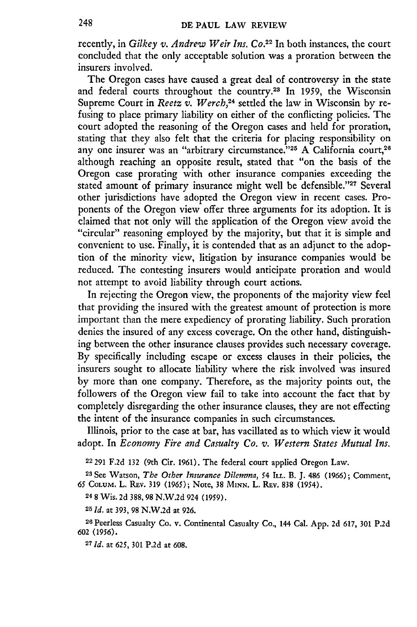recently, in *Gilkey v. Andrew Weir Ins. Co.*<sup>22</sup> In both instances, the court concluded that the only acceptable solution was a proration between the insurers involved.

The Oregon cases have caused a great deal of controversy in the state and federal courts throughout the country.28 In 1959, the Wisconsin Supreme Court in *Reetz v. Werch*,<sup>24</sup> settled the law in Wisconsin by refusing to place primary liability on either of the conflicting policies. The court adopted the reasoning of the Oregon cases and held for proration, stating that they also felt that the criteria for placing responsibility on any one insurer was an "arbitrary circumstance."<sup>25</sup> A California court,<sup>26</sup> although reaching an opposite result, stated that "on the basis of the Oregon case prorating with other insurance companies exceeding the stated amount of primary insurance might well be defensible."<sup>27</sup> Several other jurisdictions have adopted the Oregon view in recent cases. Proponents of the Oregon view offer three arguments for its adoption. It is claimed that not only will the application of the Oregon view avoid the "circular" reasoning employed by the majority, but that it is simple and convenient to use. Finally, it is contended that as an adjunct to the adoption of the minority view, litigation by insurance companies would be reduced. The contesting insurers would anticipate proration and would not attempt to avoid liability through court actions.

In rejecting the Oregon view, the proponents of the majority view feel that providing the insured with the greatest amount of protection is more important than the mere expediency of prorating liability. Such proration denies the insured of any excess coverage. On the other hand, distinguishing between the other insurance clauses provides such necessary coverage. By specifically including escape or excess clauses in their policies, the insurers sought to allocate liability where the risk involved was insured by more than one company. Therefore, as the majority points out, the followers of the Oregon view fail to take into account the fact that by completely disregarding the other insurance clauses, they are not effecting the intent of the insurance companies in such circumstances.

Illinois, prior to the case at bar, has vacillated as to which view it would adopt. In *Economy Fire and Casualty Co. v. Western States Mutual Ins.*

**<sup>22</sup>**291 F.2d 132 (9th Cir. 1961). The federal court applied Oregon Law.

**<sup>28</sup>**See Watson, *The Other Insurance Dilemma,* 54 ILL. B. J. 486 (1966); Comment, 65 COLUM. L. **Rv. 319** (1965); Note, **38 MINN. L.** REV. **838** (1954).

248 Wis. 2d 388,98 N.W.2d 924 (1959).

**<sup>25</sup>***id.* at 393, 98 N.W.2d at 926.

26 Peerless Casualty Co. v. Continental Casualty Co., 144 Cal. App. 2d 617, 301 P.2d 602 (1956).

**27** *Id.* at 625, **301** P.2d at 608.